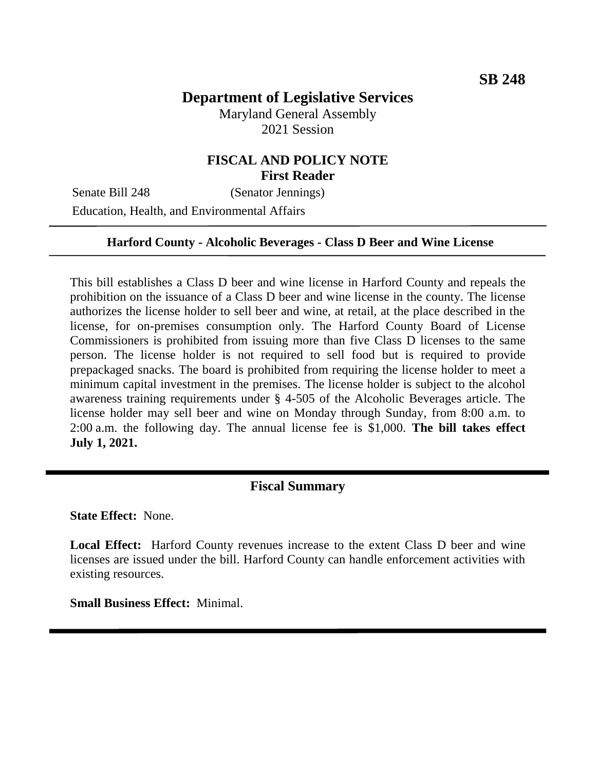# **Department of Legislative Services**

Maryland General Assembly 2021 Session

## **FISCAL AND POLICY NOTE First Reader**

Senate Bill 248 (Senator Jennings) Education, Health, and Environmental Affairs

#### **Harford County - Alcoholic Beverages - Class D Beer and Wine License**

This bill establishes a Class D beer and wine license in Harford County and repeals the prohibition on the issuance of a Class D beer and wine license in the county. The license authorizes the license holder to sell beer and wine, at retail, at the place described in the license, for on-premises consumption only. The Harford County Board of License Commissioners is prohibited from issuing more than five Class D licenses to the same person. The license holder is not required to sell food but is required to provide prepackaged snacks. The board is prohibited from requiring the license holder to meet a minimum capital investment in the premises. The license holder is subject to the alcohol awareness training requirements under § 4-505 of the Alcoholic Beverages article. The license holder may sell beer and wine on Monday through Sunday, from 8:00 a.m. to 2:00 a.m. the following day. The annual license fee is \$1,000. **The bill takes effect July 1, 2021.**

### **Fiscal Summary**

**State Effect:** None.

**Local Effect:** Harford County revenues increase to the extent Class D beer and wine licenses are issued under the bill. Harford County can handle enforcement activities with existing resources.

**Small Business Effect:** Minimal.